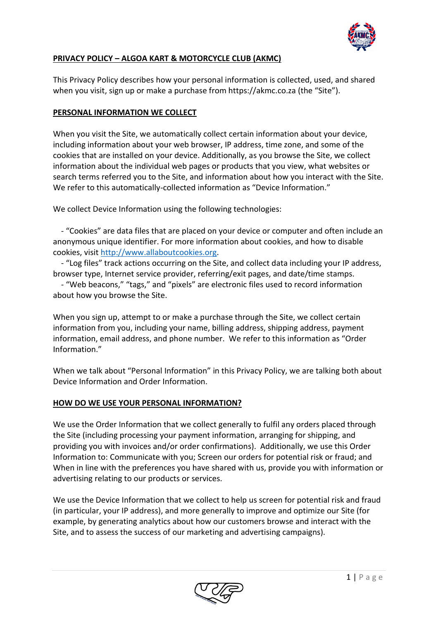

# **PRIVACY POLICY – ALGOA KART & MOTORCYCLE CLUB (AKMC)**

This Privacy Policy describes how your personal information is collected, used, and shared when you visit, sign up or make a purchase from https://akmc.co.za (the "Site").

### **PERSONAL INFORMATION WE COLLECT**

When you visit the Site, we automatically collect certain information about your device, including information about your web browser, IP address, time zone, and some of the cookies that are installed on your device. Additionally, as you browse the Site, we collect information about the individual web pages or products that you view, what websites or search terms referred you to the Site, and information about how you interact with the Site. We refer to this automatically-collected information as "Device Information."

We collect Device Information using the following technologies:

 - "Cookies" are data files that are placed on your device or computer and often include an anonymous unique identifier. For more information about cookies, and how to disable cookies, visit [http://www.allaboutcookies.org.](http://www.allaboutcookies.org/)

 - "Log files" track actions occurring on the Site, and collect data including your IP address, browser type, Internet service provider, referring/exit pages, and date/time stamps.

 - "Web beacons," "tags," and "pixels" are electronic files used to record information about how you browse the Site.

When you sign up, attempt to or make a purchase through the Site, we collect certain information from you, including your name, billing address, shipping address, payment information, email address, and phone number. We refer to this information as "Order Information."

When we talk about "Personal Information" in this Privacy Policy, we are talking both about Device Information and Order Information.

## **HOW DO WE USE YOUR PERSONAL INFORMATION?**

We use the Order Information that we collect generally to fulfil any orders placed through the Site (including processing your payment information, arranging for shipping, and providing you with invoices and/or order confirmations). Additionally, we use this Order Information to: Communicate with you; Screen our orders for potential risk or fraud; and When in line with the preferences you have shared with us, provide you with information or advertising relating to our products or services.

We use the Device Information that we collect to help us screen for potential risk and fraud (in particular, your IP address), and more generally to improve and optimize our Site (for example, by generating analytics about how our customers browse and interact with the Site, and to assess the success of our marketing and advertising campaigns).